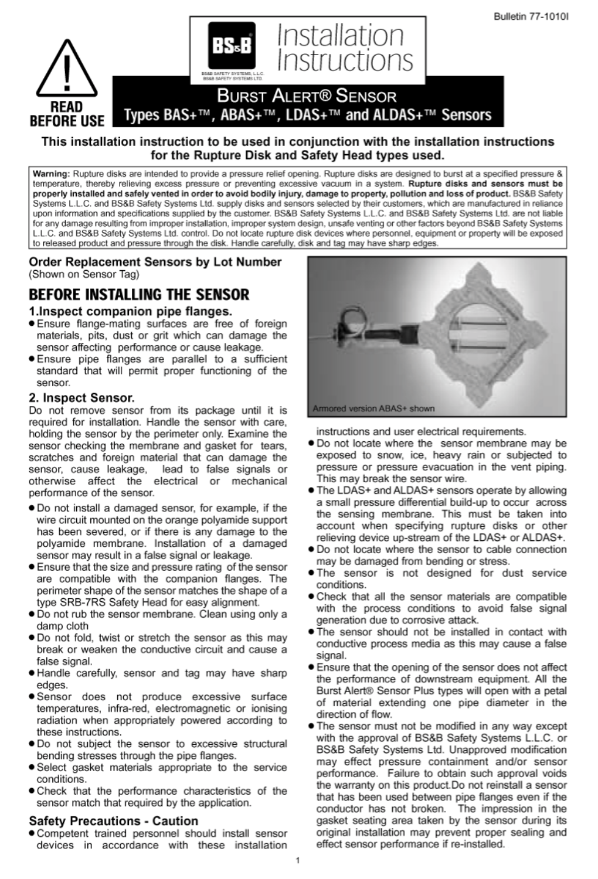

### This installation instruction to be used in conjunction with the installation instructions for the Rupture Disk and Safety Head types used.

Warning: Rupture disks are intended to provide a pressure relief opening. Rupture disks are designed to burst at a specified pressure & temperature, thereby relieving excess pressure or preventing excessive vacuum in a system. Rupture disks and sensors must be properly installed and safely vented in order to avoid bodily injury, damage to property, pollution and loss of product. BS&B Safety Systems L.L.C. and BS&B Safety Systems Ltd. supply disks and sensors selected by their customers, which are manufactured in reliance upon information and specifications supplied by the customer. BS&B Safety Systems L.L.C. and BS&B Safety Systems Ltd. are not liable for any damage resulting from improper installation, improper system design, unsafe venting or other factors beyond BS&B Safety Systems L.L.C. and BS&B Safety Systems Ltd. control. Do not locate rupture disk devices where personnel, equipment or property will be exposed to released product and pressure through the disk. Handle carefully, disk and tag may have sharp edges.

Order Replacement Sensors by Lot Number (Shown on Sensor Tag)

## **BEFORE INSTALLING THE SENSOR**

### 1. Inspect companion pipe flanges.

- · Ensure flange-mating surfaces are free of foreign materials, pits, dust or grit which can damage the sensor affecting performance or cause leakage.
- · Ensure pipe flanges are parallel to a sufficient standard that will permit proper functioning of the sensor.

### 2. Inspect Sensor.

Do not remove sensor from its package until it is required for installation. Handle the sensor with care, holding the sensor by the perimeter only. Examine the sensor checking the membrane and gasket for tears. scratches and foreign material that can damage the sensor, cause leakage, lead to false signals or otherwise affect the electrical or mechanical performance of the sensor.

- . Do not install a damaged sensor, for example, if the wire circuit mounted on the orange polyamide support has been severed, or if there is any damage to the polyamide membrane. Installation of a damaged sensor may result in a false signal or leakage.
- Ensure that the size and pressure rating of the sensor are compatible with the companion flanges. The perimeter shape of the sensor matches the shape of a type SRB-7RS Safety Head for easy alignment.
- . Do not rub the sensor membrane. Clean using only a damp cloth
- . Do not fold, twist or stretch the sensor as this may break or weaken the conductive circuit and cause a false signal.
- . Handle carefully, sensor and tag may have sharp edges.
- · Sensor does not produce excessive surface temperatures, infra-red, electromagnetic or ionising radiation when appropriately powered according to these instructions.
- . Do not subject the sensor to excessive structural bending stresses through the pipe flanges.
- · Select gasket materials appropriate to the service conditions.
- . Check that the performance characteristics of the sensor match that required by the application.

### **Safety Precautions - Caution**

. Competent trained personnel should install sensor devices in accordance with these installation



instructions and user electrical requirements.

- . Do not locate where the sensor membrane may be exposed to snow, ice, heavy rain or subjected to pressure or pressure evacuation in the vent piping. This may break the sensor wire.
- . The LDAS+ and ALDAS+ sensors operate by allowing a small pressure differential build-up to occur across the sensing membrane. This must be taken into account when specifying rupture disks or other relieving device up-stream of the LDAS+ or ALDAS+.
- . Do not locate where the sensor to cable connection may be damaged from bending or stress.
- . The sensor is not designed for dust service conditions.
- . Check that all the sensor materials are compatible with the process conditions to avoid false signal generation due to corrosive attack.
- . The sensor should not be installed in contact with conductive process media as this may cause a false signal.
- **Ensure that the opening of the sensor does not affect** the performance of downstream equipment. All the Burst Alert® Sensor Plus types will open with a petal of material extending one pipe diameter in the direction of flow.
- . The sensor must not be modified in any way except with the approval of BS&B Safety Systems L.L.C. or BS&B Safety Systems Ltd. Unapproved modification may effect pressure containment and/or sensor performance. Failure to obtain such approval voids the warranty on this product. Do not reinstall a sensor that has been used between pipe flanges even if the conductor has not broken. The impression in the gasket seating area taken by the sensor during its original installation may prevent proper sealing and effect sensor performance if re-installed.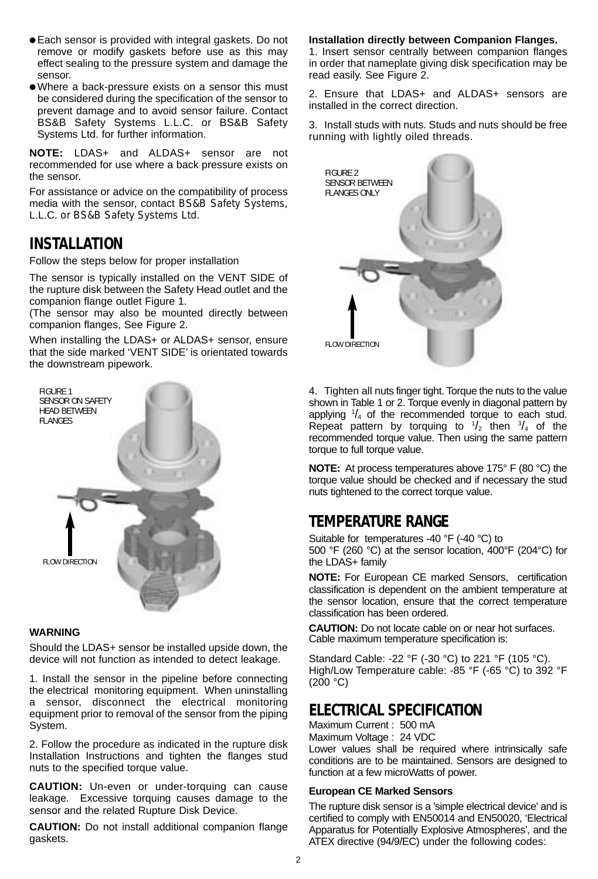- Each sensor is provided with integral gaskets. Do not remove or modify gaskets before use as this may effect sealing to the pressure system and damage the sensor.
- Where a back-pressure exists on a sensor this must be considered during the specification of the sensor to prevent damage and to avoid sensor failure. Contact BS&B Safety Systems L.L.C. or BS&B Safety Systems Ltd. for further information.

**NOTE:** LDAS+ and ALDAS+ sensor are not recommended for use where a back pressure exists on the sensor.

For assistance or advice on the compatibility of process media with the sensor, contact BS&B Safety Systems, L.L.C. or BS&B Safety Systems Ltd.

### **INSTALLATION**

Follow the steps below for proper installation

The sensor is typically installed on the VENT SIDE of the rupture disk between the Safety Head outlet and the companion flange outlet Figure 1.

(The sensor may also be mounted directly between companion flanges, See Figure 2.

When installing the LDAS+ or ALDAS+ sensor, ensure that the side marked 'VENT SIDE' is orientated towards the downstream pipework.



#### **WARNING**

Should the LDAS+ sensor be installed upside down, the device will not function as intended to detect leakage.

1. Install the sensor in the pipeline before connecting the electrical monitoring equipment. When uninstalling a sensor, disconnect the electrical monitoring equipment prior to removal of the sensor from the piping System.

2. Follow the procedure as indicated in the rupture disk Installation Instructions and tighten the flanges stud nuts to the specified torque value.

**CAUTION:** Un-even or under-torquing can cause leakage. Excessive torquing causes damage to the sensor and the related Rupture Disk Device.

**CAUTION:** Do not install additional companion flange gaskets.

#### **Installation directly between Companion Flanges.**

1. Insert sensor centrally between companion flanges in order that nameplate giving disk specification may be read easily. See Figure 2.

2. Ensure that LDAS+ and ALDAS+ sensors are installed in the correct direction.

3. Install studs with nuts. Studs and nuts should be free running with lightly oiled threads.



4. Tighten all nuts finger tight. Torque the nuts to the value shown in Table 1 or 2. Torque evenly in diagonal pattern by applying  $\frac{1}{4}$  of the recommended torque to each stud. Repeat pattern by torquing to  $\frac{1}{2}$  then  $\frac{3}{4}$  of the recommended torque value. Then using the same pattern torque to full torque value.

**NOTE:** At process temperatures above 175° F (80 °C) the torque value should be checked and if necessary the stud nuts tightened to the correct torque value.

### **TEMPERATURE RANGE**

Suitable for temperatures -40 °F (-40 °C) to 500 °F (260 °C) at the sensor location, 400°F (204°C) for the LDAS+ family

**NOTE:** For European CE marked Sensors, certification classification is dependent on the ambient temperature at the sensor location, ensure that the correct temperature classification has been ordered.

**CAUTION:** Do not locate cable on or near hot surfaces. Cable maximum temperature specification is:

Standard Cable: -22 °F (-30 °C) to 221 °F (105 °C). High/Low Temperature cable: -85 °F (-65 °C) to 392 °F  $(200 °C)$ 

### **ELECTRICAL SPECIFICATION**

Maximum Current : 500 mA Maximum Voltage : 24 VDC Lower values shall be required where intrinsically safe conditions are to be maintained. Sensors are designed to function at a few microWatts of power.

#### **European CE Marked Sensors**

The rupture disk sensor is a 'simple electrical device' and is certified to comply with EN50014 and EN50020, 'Electrical Apparatus for Potentially Explosive Atmospheres', and the ATEX directive (94/9/EC) under the following codes: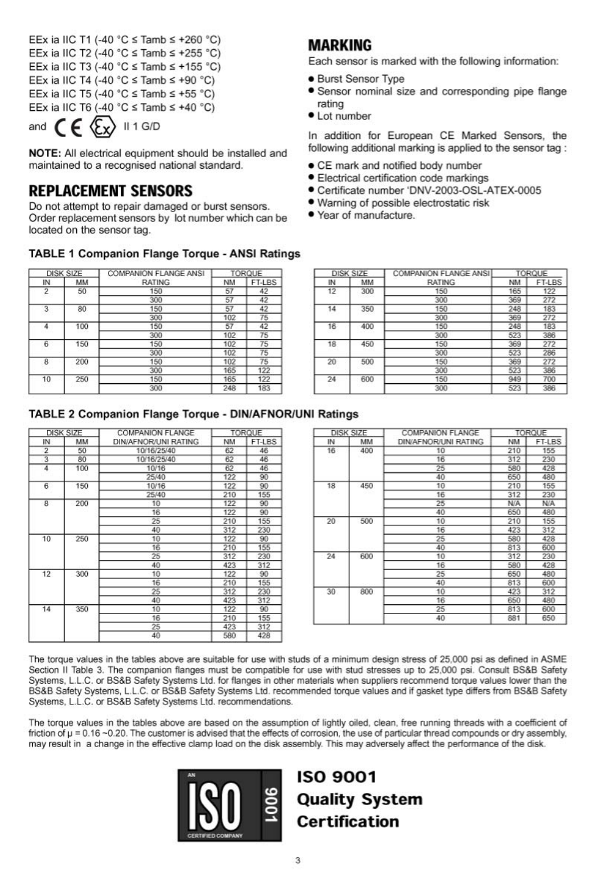EEx ia IIC T1 (-40 °C ≤ Tamb ≤ +260 °C) EEx ia IIC T2 (-40 °C  $\le$  Tamb  $\le$  +255 °C) EEx ia IIC T3 (-40 °C  $\le$  Tamb  $\le$  +155 °C) EEx ia IIC T4 (-40 °C  $\le$  Tamb  $\le$  +90 °C) EEx ia IIC T5 (-40 °C  $\le$  Tamb  $\le$  +55 °C) EEx ia IIC T6 (-40 °C  $\le$  Tamb  $\le$  +40 °C)

and 
$$
\mathsf{CE} \times \mathsf{L}
$$
 11 G/D

NOTE: All electrical equipment should be installed and maintained to a recognised national standard.

### **REPLACEMENT SENSORS**

Do not attempt to repair damaged or burst sensors. Order replacement sensors by lot number which can be located on the sensor tag.

#### **TABLE 1 Companion Flange Torque - ANSI Ratings**

| <b>DISK SIZE</b> |     | <b>COMPANION FLANGE ANSI</b> | <b>TORQUE</b>   |        |
|------------------|-----|------------------------------|-----------------|--------|
| IN               | MM  | <b>RATING</b>                | <b>NM</b>       | FT-LBS |
| $\overline{2}$   | 50  | 150                          | 57              | 42     |
|                  |     | 300                          | 57              | 42     |
| $\overline{3}$   | 80  | 150                          | 57<br>102<br>57 | 42     |
|                  |     | 300                          |                 | 75     |
| 4                | 100 | 150                          |                 | 42     |
|                  |     | 300                          | 102             | 75     |
| 6                | 150 | 150                          | 102             | 75     |
|                  |     | 300                          | 102             | 75     |
| 8                | 200 | 150                          | 102             | 75     |
|                  |     | 300                          | 165             | 122    |
| 10               | 250 | 150                          | 165             | 122    |
|                  |     | 300                          | 248             | 183    |

| <b>DISK SIZE</b> |     | <b>COMPANION FLANGE ANSI</b> | TORQUE                                                      |        |
|------------------|-----|------------------------------|-------------------------------------------------------------|--------|
| ΙN               | MM  | <b>RATING</b>                | NM                                                          | FT-LBS |
| 12               | 300 | 150                          | 165                                                         | 122    |
|                  |     | 300                          | 369<br>248<br>369<br>248<br>523<br>369<br>523<br>369<br>523 | 272    |
| 14               | 350 | 150                          |                                                             | 183    |
|                  |     | 300                          |                                                             | 272    |
| 16               | 400 | 150                          |                                                             | 183    |
|                  |     | 300                          |                                                             | 386    |
| 18               | 450 | 150                          |                                                             | 272    |
|                  |     | 300                          |                                                             | 286    |
| 20               | 500 | 150                          |                                                             | 272    |
|                  |     | 300                          |                                                             | 386    |
| 24               | 600 | 150                          | 949                                                         | 700    |
|                  |     | 300                          | 523                                                         | 386    |

Each sensor is marked with the following information:

• Sensor nominal size and corresponding pipe flange

In addition for European CE Marked Sensors, the following additional marking is applied to the sensor tag:

Certificate number 'DNV-2003-OSL-ATEX-0005

• CE mark and notified body number · Electrical certification code markings

· Warning of possible electrostatic risk

**MARKING** 

rating

• Lot number

**.** Burst Sensor Type

. Year of manufacture.

### TABLE 2 Companion Flange Torque - DIN/AFNOR/UNI Ratings

|                           | DISK SIZE | COMPANION FLANGE     |                                                                                         | TORQUE |
|---------------------------|-----------|----------------------|-----------------------------------------------------------------------------------------|--------|
| IN                        | MM        | DIN/AFNOR/UNI RATING | NM                                                                                      | FT-LBS |
| 2                         | 50        | 10/16/25/40          | 62                                                                                      | 46     |
| $\overline{\overline{3}}$ | 80        | 10/16/25/40          | 62                                                                                      | 46     |
| 4                         | 100       | 10/16                | 62                                                                                      | 46     |
|                           |           | 25/40                | 122                                                                                     | 90     |
| 6                         | 150       | 10/16                | 122                                                                                     | 90     |
|                           |           | 25/40                | 210                                                                                     | 155    |
| 8                         | 200       | 10                   | 122                                                                                     | 90     |
|                           |           | 16                   | 122                                                                                     | 90     |
|                           |           | 25                   | 210                                                                                     | 155    |
|                           |           | 40                   | 312<br>122<br>210<br>312<br>423<br>122<br>210<br>312<br>423<br>122<br>210<br>423<br>580 | 230    |
| 10                        | 250       | 10                   |                                                                                         | 90     |
|                           |           | 16                   |                                                                                         | 155    |
|                           |           | 25                   |                                                                                         | 230    |
|                           |           | 40                   |                                                                                         | 312    |
| 12                        | 300       | 10                   |                                                                                         | 90     |
|                           |           | 16                   |                                                                                         | 155    |
|                           |           | 25                   |                                                                                         | 230    |
|                           |           | 40                   |                                                                                         | 312    |
| 14                        | 350       | 10                   |                                                                                         | 90     |
|                           |           | 16                   |                                                                                         | 155    |
|                           |           | 25                   |                                                                                         | 312    |
|                           |           | 40                   |                                                                                         | 428    |

| <b>DISK SIZE</b> |     | COMPANION FLANGE     | TORQUE                                                                                         |        |
|------------------|-----|----------------------|------------------------------------------------------------------------------------------------|--------|
| ΙN               | MM  | DIN/AFNOR/UNI RATING | NM                                                                                             | FT-LBS |
| 16               | 400 | 10                   | 210                                                                                            | 155    |
|                  |     | 16                   | 312                                                                                            | 230    |
|                  |     | 25                   | 580                                                                                            | 428    |
|                  |     | 40                   | 650                                                                                            | 480    |
| 18               | 450 | 10                   | 210<br>312<br>N/A<br>650<br>210<br>423<br>580<br>813<br>312<br>580<br>650<br>813<br>423<br>650 | 155    |
|                  |     | 16                   |                                                                                                | 230    |
|                  |     | 25                   |                                                                                                | N/A    |
|                  |     | 40                   |                                                                                                | 480    |
| 20               | 500 | 10                   |                                                                                                | 155    |
|                  |     | 16                   |                                                                                                | 312    |
|                  |     | 25                   |                                                                                                | 428    |
|                  |     | 40                   |                                                                                                | 600    |
| 24               | 600 | 10                   | 813<br>881                                                                                     | 230    |
|                  |     | 16                   |                                                                                                | 428    |
|                  |     | 25                   |                                                                                                | 480    |
|                  |     | 40                   |                                                                                                | 600    |
| 30               | 800 | 10                   |                                                                                                | 312    |
|                  | 16  |                      |                                                                                                | 480    |
|                  |     | 25                   |                                                                                                | 600    |
|                  |     | 40                   |                                                                                                | 650    |

The torque values in the tables above are suitable for use with studs of a minimum design stress of 25,000 psi as defined in ASME Section II Table 3. The companion flanges must be compatible for use with stud stresses up to 25,000 psi. Consult BS&B Safety Systems, L.L.C. or BS&B Safety Systems Ltd. for flanges in other materials when suppliers recommend torque values lower than the BS&B Safety Systems, L.L.C. or BS&B Safety Systems Ltd. recommended torque values and if gasket type differs from BS&B Safety Systems, L.L.C. or BS&B Safety Systems Ltd. recommendations.

The torque values in the tables above are based on the assumption of lightly oiled, clean, free running threads with a coefficient of friction of  $\mu$  = 0.16 ~0.20. The customer is advised that the effects of corrosion, the use of particular thread compounds or dry assembly, may result in a change in the effective clamp load on the disk assembly. This may adversely affect the performance of the disk.



# **ISO 9001 Quality System Certification**

#### 3